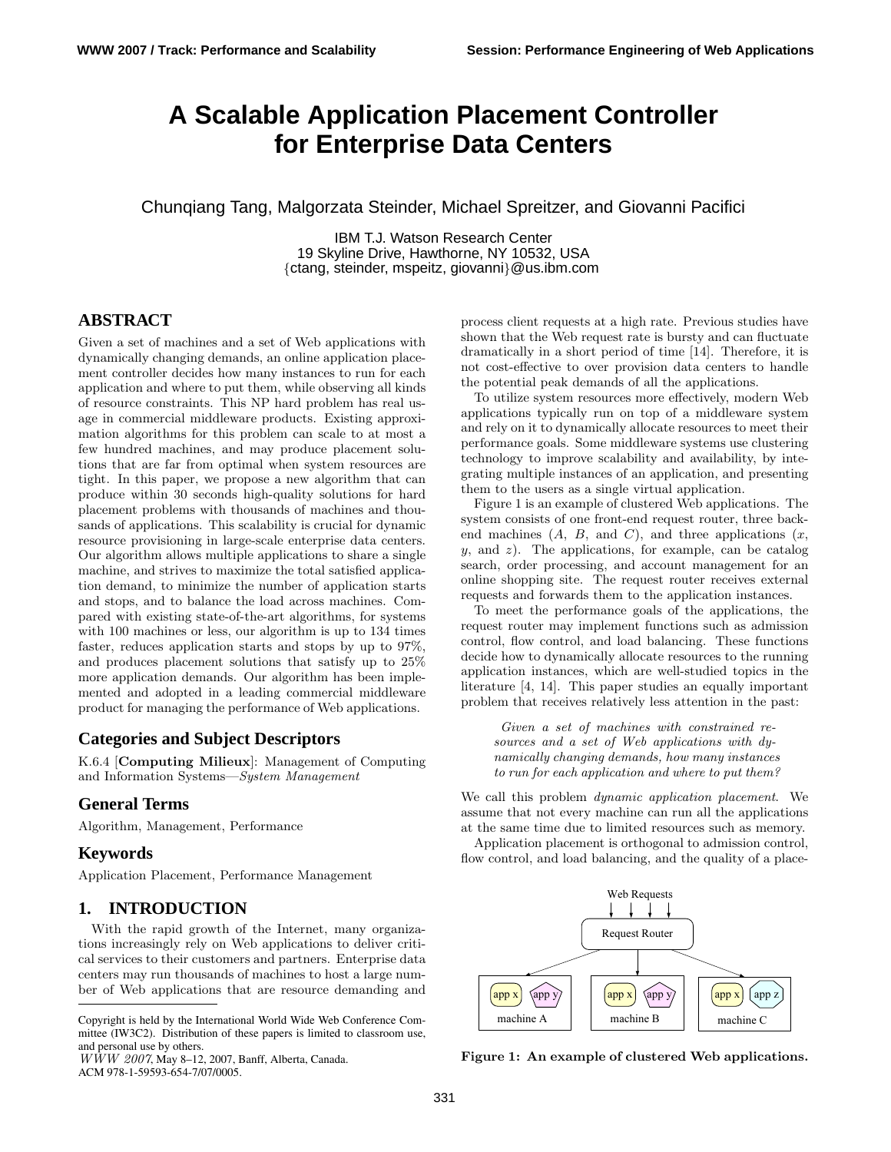# **A Scalable Application Placement Controller for Enterprise Data Centers**

Chunqiang Tang, Malgorzata Steinder, Michael Spreitzer, and Giovanni Pacifici

IBM T.J. Watson Research Center 19 Skyline Drive, Hawthorne, NY 10532, USA {ctang, steinder, mspeitz, giovanni}@us.ibm.com

# **ABSTRACT**

Given a set of machines and a set of Web applications with dynamically changing demands, an online application placement controller decides how many instances to run for each application and where to put them, while observing all kinds of resource constraints. This NP hard problem has real usage in commercial middleware products. Existing approximation algorithms for this problem can scale to at most a few hundred machines, and may produce placement solutions that are far from optimal when system resources are tight. In this paper, we propose a new algorithm that can produce within 30 seconds high-quality solutions for hard placement problems with thousands of machines and thousands of applications. This scalability is crucial for dynamic resource provisioning in large-scale enterprise data centers. Our algorithm allows multiple applications to share a single machine, and strives to maximize the total satisfied application demand, to minimize the number of application starts and stops, and to balance the load across machines. Compared with existing state-of-the-art algorithms, for systems with 100 machines or less, our algorithm is up to 134 times faster, reduces application starts and stops by up to 97%, and produces placement solutions that satisfy up to 25% more application demands. Our algorithm has been implemented and adopted in a leading commercial middleware product for managing the performance of Web applications.

# **Categories and Subject Descriptors**

K.6.4 [Computing Milieux]: Management of Computing and Information Systems—System Management

# **General Terms**

Algorithm, Management, Performance

# **Keywords**

Application Placement, Performance Management

# **1. INTRODUCTION**

With the rapid growth of the Internet, many organizations increasingly rely on Web applications to deliver critical services to their customers and partners. Enterprise data centers may run thousands of machines to host a large number of Web applications that are resource demanding and

WWW 2007, May 8–12, 2007, Banff, Alberta, Canada. ACM 978-1-59593-654-7/07/0005.

process client requests at a high rate. Previous studies have shown that the Web request rate is bursty and can fluctuate dramatically in a short period of time [14]. Therefore, it is not cost-effective to over provision data centers to handle the potential peak demands of all the applications.

To utilize system resources more effectively, modern Web applications typically run on top of a middleware system and rely on it to dynamically allocate resources to meet their performance goals. Some middleware systems use clustering technology to improve scalability and availability, by integrating multiple instances of an application, and presenting them to the users as a single virtual application.

Figure 1 is an example of clustered Web applications. The system consists of one front-end request router, three backend machines  $(A, B, \text{ and } C)$ , and three applications  $(x,$  $y$ , and  $z$ ). The applications, for example, can be catalog search, order processing, and account management for an online shopping site. The request router receives external requests and forwards them to the application instances.

To meet the performance goals of the applications, the request router may implement functions such as admission control, flow control, and load balancing. These functions decide how to dynamically allocate resources to the running application instances, which are well-studied topics in the literature [4, 14]. This paper studies an equally important problem that receives relatively less attention in the past:

Given a set of machines with constrained resources and a set of Web applications with dynamically changing demands, how many instances to run for each application and where to put them?

We call this problem dynamic application placement. We assume that not every machine can run all the applications at the same time due to limited resources such as memory.

Application placement is orthogonal to admission control, flow control, and load balancing, and the quality of a place-



Figure 1: An example of clustered Web applications.

Copyright is held by the International World Wide Web Conference Committee (IW3C2). Distribution of these papers is limited to classroom use, and personal use by others.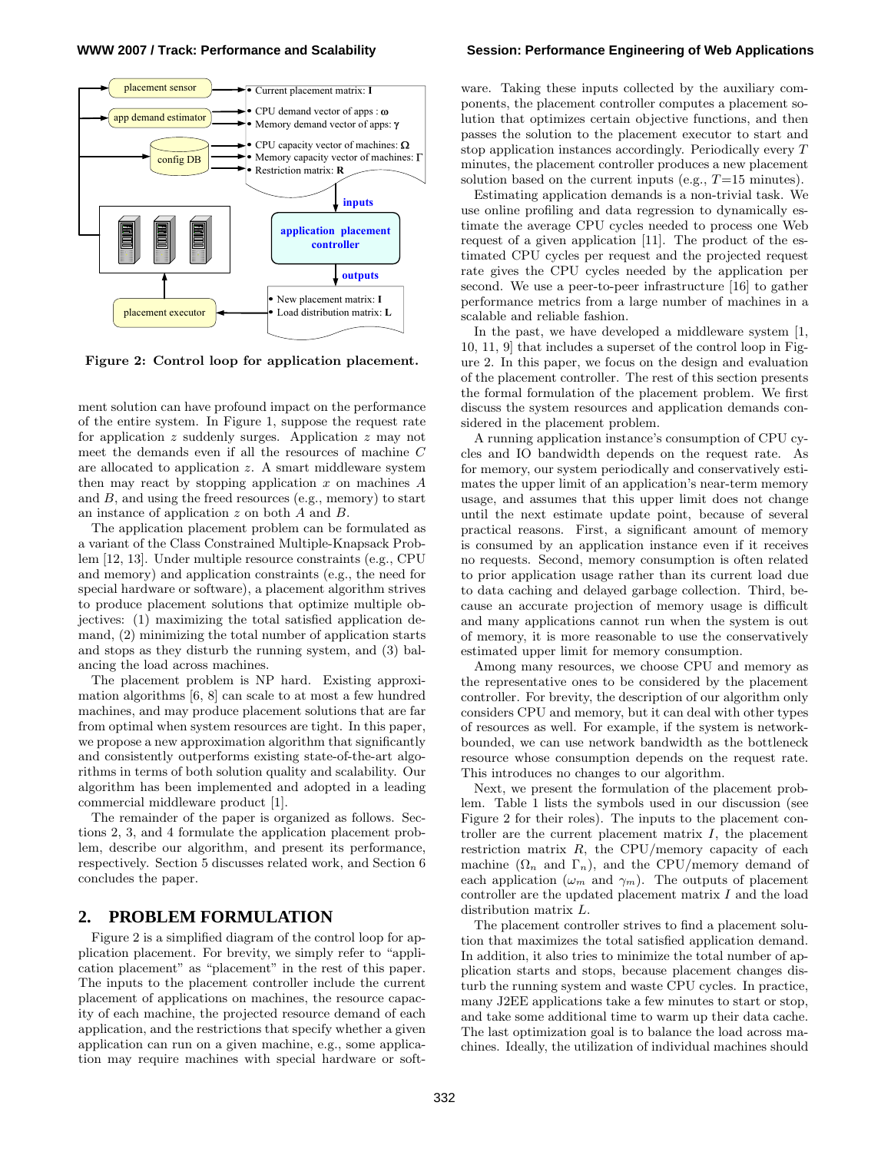### **WWW 2007 / Track: Performance and Scalability Session: Performance Engineering of Web Applications**



Figure 2: Control loop for application placement.

ment solution can have profound impact on the performance of the entire system. In Figure 1, suppose the request rate for application z suddenly surges. Application z may not meet the demands even if all the resources of machine C are allocated to application z. A smart middleware system then may react by stopping application  $x$  on machines  $A$ and B, and using the freed resources (e.g., memory) to start an instance of application z on both A and B.

The application placement problem can be formulated as a variant of the Class Constrained Multiple-Knapsack Problem [12, 13]. Under multiple resource constraints (e.g., CPU and memory) and application constraints (e.g., the need for special hardware or software), a placement algorithm strives to produce placement solutions that optimize multiple objectives: (1) maximizing the total satisfied application demand, (2) minimizing the total number of application starts and stops as they disturb the running system, and (3) balancing the load across machines.

The placement problem is NP hard. Existing approximation algorithms [6, 8] can scale to at most a few hundred machines, and may produce placement solutions that are far from optimal when system resources are tight. In this paper, we propose a new approximation algorithm that significantly and consistently outperforms existing state-of-the-art algorithms in terms of both solution quality and scalability. Our algorithm has been implemented and adopted in a leading commercial middleware product [1].

The remainder of the paper is organized as follows. Sections 2, 3, and 4 formulate the application placement problem, describe our algorithm, and present its performance, respectively. Section 5 discusses related work, and Section 6 concludes the paper.

### **2. PROBLEM FORMULATION**

Figure 2 is a simplified diagram of the control loop for application placement. For brevity, we simply refer to "application placement" as "placement" in the rest of this paper. The inputs to the placement controller include the current placement of applications on machines, the resource capacity of each machine, the projected resource demand of each application, and the restrictions that specify whether a given application can run on a given machine, e.g., some application may require machines with special hardware or software. Taking these inputs collected by the auxiliary components, the placement controller computes a placement solution that optimizes certain objective functions, and then passes the solution to the placement executor to start and stop application instances accordingly. Periodically every T minutes, the placement controller produces a new placement solution based on the current inputs (e.g.,  $T=15$  minutes).

Estimating application demands is a non-trivial task. We use online profiling and data regression to dynamically estimate the average CPU cycles needed to process one Web request of a given application [11]. The product of the estimated CPU cycles per request and the projected request rate gives the CPU cycles needed by the application per second. We use a peer-to-peer infrastructure [16] to gather performance metrics from a large number of machines in a scalable and reliable fashion.

In the past, we have developed a middleware system [1, 10, 11, 9] that includes a superset of the control loop in Figure 2. In this paper, we focus on the design and evaluation of the placement controller. The rest of this section presents the formal formulation of the placement problem. We first discuss the system resources and application demands considered in the placement problem.

A running application instance's consumption of CPU cycles and IO bandwidth depends on the request rate. As for memory, our system periodically and conservatively estimates the upper limit of an application's near-term memory usage, and assumes that this upper limit does not change until the next estimate update point, because of several practical reasons. First, a significant amount of memory is consumed by an application instance even if it receives no requests. Second, memory consumption is often related to prior application usage rather than its current load due to data caching and delayed garbage collection. Third, because an accurate projection of memory usage is difficult and many applications cannot run when the system is out of memory, it is more reasonable to use the conservatively estimated upper limit for memory consumption.

Among many resources, we choose CPU and memory as the representative ones to be considered by the placement controller. For brevity, the description of our algorithm only considers CPU and memory, but it can deal with other types of resources as well. For example, if the system is networkbounded, we can use network bandwidth as the bottleneck resource whose consumption depends on the request rate. This introduces no changes to our algorithm.

Next, we present the formulation of the placement problem. Table 1 lists the symbols used in our discussion (see Figure 2 for their roles). The inputs to the placement controller are the current placement matrix  $I$ , the placement restriction matrix  $R$ , the CPU/memory capacity of each machine  $(\Omega_n$  and  $\Gamma_n)$ , and the CPU/memory demand of each application ( $\omega_m$  and  $\gamma_m$ ). The outputs of placement controller are the updated placement matrix  $I$  and the load distribution matrix L.

The placement controller strives to find a placement solution that maximizes the total satisfied application demand. In addition, it also tries to minimize the total number of application starts and stops, because placement changes disturb the running system and waste CPU cycles. In practice, many J2EE applications take a few minutes to start or stop, and take some additional time to warm up their data cache. The last optimization goal is to balance the load across machines. Ideally, the utilization of individual machines should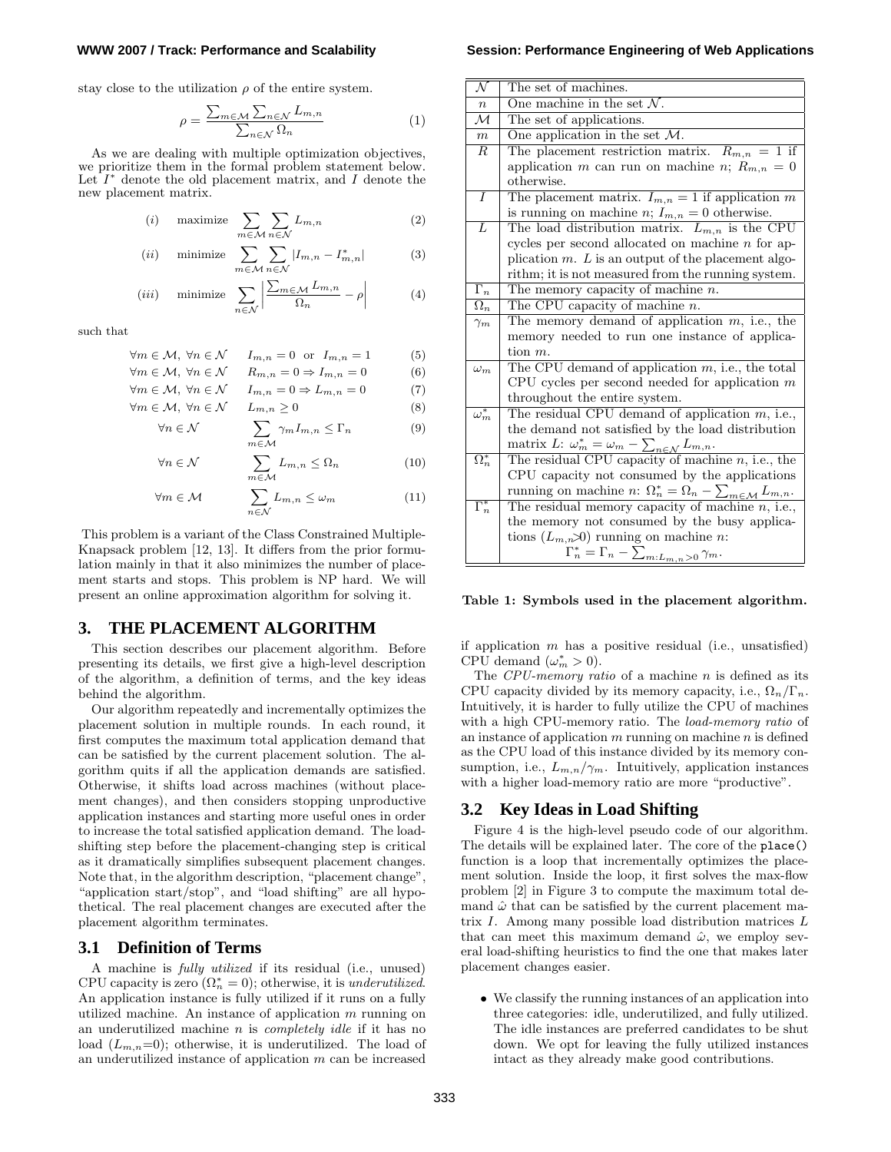stay close to the utilization  $\rho$  of the entire system.

$$
\rho = \frac{\sum_{m \in \mathcal{M}} \sum_{n \in \mathcal{N}} L_{m,n}}{\sum_{n \in \mathcal{N}} \Omega_n} \tag{1}
$$

As we are dealing with multiple optimization objectives, we prioritize them in the formal problem statement below. Let  $I^*$  denote the old placement matrix, and  $I$  denote the new placement matrix.

$$
(i) \quad \text{maximize} \quad \sum_{m \in \mathcal{M}} \sum_{n \in \mathcal{N}} L_{m,n} \tag{2}
$$

(*ii*) minimize 
$$
\sum_{m \in \mathcal{M}} \sum_{n \in \mathcal{N}} |I_{m,n} - I_{m,n}^*|
$$
 (3)

$$
(iii) \quad \text{minimize} \quad \sum_{n \in \mathcal{N}} \left| \frac{\sum_{m \in \mathcal{M}} L_{m,n}}{\Omega_n} - \rho \right| \tag{4}
$$

such that

$$
\forall m \in \mathcal{M}, \ \forall n \in \mathcal{N} \qquad I_{m,n} = 0 \quad \text{or} \quad I_{m,n} = 1 \tag{5}
$$

$$
\forall m \in \mathcal{M}, \ \forall n \in \mathcal{N} \qquad R_{m,n} = 0 \Rightarrow I_{m,n} = 0 \tag{6}
$$

$$
\forall m \in \mathcal{M}, \ \forall n \in \mathcal{N} \qquad I_{m,n} = 0 \Rightarrow L_{m,n} = 0 \tag{7}
$$

$$
\forall m \in \mathcal{M}, \ \forall n \in \mathcal{N} \qquad L_{m,n} \ge 0 \tag{8}
$$

$$
\forall n \in \mathcal{N} \qquad \sum_{m \in \mathcal{M}} \gamma_m I_{m,n} \leq \Gamma_n \qquad (9)
$$

$$
\forall n \in \mathcal{N} \qquad \sum_{m \in \mathcal{M}} L_{m,n} \le \Omega_n \tag{10}
$$

$$
\forall m \in \mathcal{M} \qquad \sum_{n \in \mathcal{N}} L_{m,n} \le \omega_m \tag{11}
$$

This problem is a variant of the Class Constrained Multiple-Knapsack problem [12, 13]. It differs from the prior formulation mainly in that it also minimizes the number of placement starts and stops. This problem is NP hard. We will present an online approximation algorithm for solving it.

### **3. THE PLACEMENT ALGORITHM**

This section describes our placement algorithm. Before presenting its details, we first give a high-level description of the algorithm, a definition of terms, and the key ideas behind the algorithm.

Our algorithm repeatedly and incrementally optimizes the placement solution in multiple rounds. In each round, it first computes the maximum total application demand that can be satisfied by the current placement solution. The algorithm quits if all the application demands are satisfied. Otherwise, it shifts load across machines (without placement changes), and then considers stopping unproductive application instances and starting more useful ones in order to increase the total satisfied application demand. The loadshifting step before the placement-changing step is critical as it dramatically simplifies subsequent placement changes. Note that, in the algorithm description, "placement change", "application start/stop", and "load shifting" are all hypothetical. The real placement changes are executed after the placement algorithm terminates.

### **3.1 Definition of Terms**

A machine is fully utilized if its residual (i.e., unused) CPU capacity is zero  $(\Omega_n^* = 0)$ ; otherwise, it is *underutilized*. An application instance is fully utilized if it runs on a fully utilized machine. An instance of application  $m$  running on an underutilized machine  $n$  is *completely idle* if it has no load  $(L_{m,n}=0)$ ; otherwise, it is underutilized. The load of an underutilized instance of application m can be increased

### **WWW 2007 / Track: Performance and Scalability Session: Performance Engineering of Web Applications**

| $\overline{\mathcal{N}}$ | The set of machines.                                                               |
|--------------------------|------------------------------------------------------------------------------------|
| $\boldsymbol{n}$         | One machine in the set $\mathcal N$ .                                              |
| М                        | The set of applications.                                                           |
| $\boldsymbol{m}$         | One application in the set $\mathcal{M}$ .                                         |
| R                        | The placement restriction matrix. $R_{m,n} = 1$ if                                 |
|                          | application m can run on machine n; $R_{m,n} = 0$                                  |
|                          | otherwise.                                                                         |
| Ι                        | The placement matrix. $I_{m,n} = 1$ if application m                               |
|                          | is running on machine <i>n</i> ; $I_{m,n} = 0$ otherwise.                          |
| L                        | The load distribution matrix. $L_{m,n}$ is the CPU                                 |
|                          | cycles per second allocated on machine $n$ for ap-                                 |
|                          | plication $m$ . L is an output of the placement algo-                              |
|                          | rithm; it is not measured from the running system.                                 |
| $\overline{\Gamma_n}$    | The memory capacity of machine $n$ .                                               |
| $\Omega_n$               | The CPU capacity of machine $n$ .                                                  |
| $\gamma_m$               | The memory demand of application $m$ , i.e., the                                   |
|                          | memory needed to run one instance of applica-                                      |
|                          | tion $m$ .                                                                         |
| $\omega_m$               | The CPU demand of application $m$ , i.e., the total                                |
|                          | CPU cycles per second needed for application $m$                                   |
|                          | throughout the entire system.                                                      |
| $\overline{\omega_m^*}$  | The residual CPU demand of application $m$ , i.e.,                                 |
|                          | the demand not satisfied by the load distribution                                  |
|                          | matrix L: $\omega_m^* = \omega_m - \sum_{n \in \mathcal{N}} L_{m,n}$ .             |
| $\Omega_n^*$             | The residual CPU capacity of machine $n$ , i.e., the                               |
|                          | CPU capacity not consumed by the applications                                      |
|                          | running on machine n: $\Omega_n^* = \Omega_n - \sum_{m \in \mathcal{M}} L_{m,n}$ . |
| $\overline{\Gamma_n^*}$  | The residual memory capacity of machine $n$ , i.e.,                                |
|                          | the memory not consumed by the busy applica-                                       |
|                          | tions $(L_{m,n}\gg 0)$ running on machine <i>n</i> :                               |
|                          | $\Gamma_n^* = \Gamma_n - \sum_{m:L_{m,n}>0} \gamma_m.$                             |

Table 1: Symbols used in the placement algorithm.

if application  $m$  has a positive residual (i.e., unsatisfied) CPU demand  $(\omega_m^* > 0)$ .

The CPU-memory ratio of a machine n is defined as its CPU capacity divided by its memory capacity, i.e.,  $\Omega_n/\Gamma_n$ . Intuitively, it is harder to fully utilize the CPU of machines with a high CPU-memory ratio. The *load-memory ratio* of an instance of application  $m$  running on machine  $n$  is defined as the CPU load of this instance divided by its memory consumption, i.e.,  $L_{m,n}/\gamma_m$ . Intuitively, application instances with a higher load-memory ratio are more "productive".

### **3.2 Key Ideas in Load Shifting**

Figure 4 is the high-level pseudo code of our algorithm. The details will be explained later. The core of the place() function is a loop that incrementally optimizes the placement solution. Inside the loop, it first solves the max-flow problem [2] in Figure 3 to compute the maximum total demand  $\hat{\omega}$  that can be satisfied by the current placement matrix I. Among many possible load distribution matrices L that can meet this maximum demand  $\hat{\omega}$ , we employ several load-shifting heuristics to find the one that makes later placement changes easier.

• We classify the running instances of an application into three categories: idle, underutilized, and fully utilized. The idle instances are preferred candidates to be shut down. We opt for leaving the fully utilized instances intact as they already make good contributions.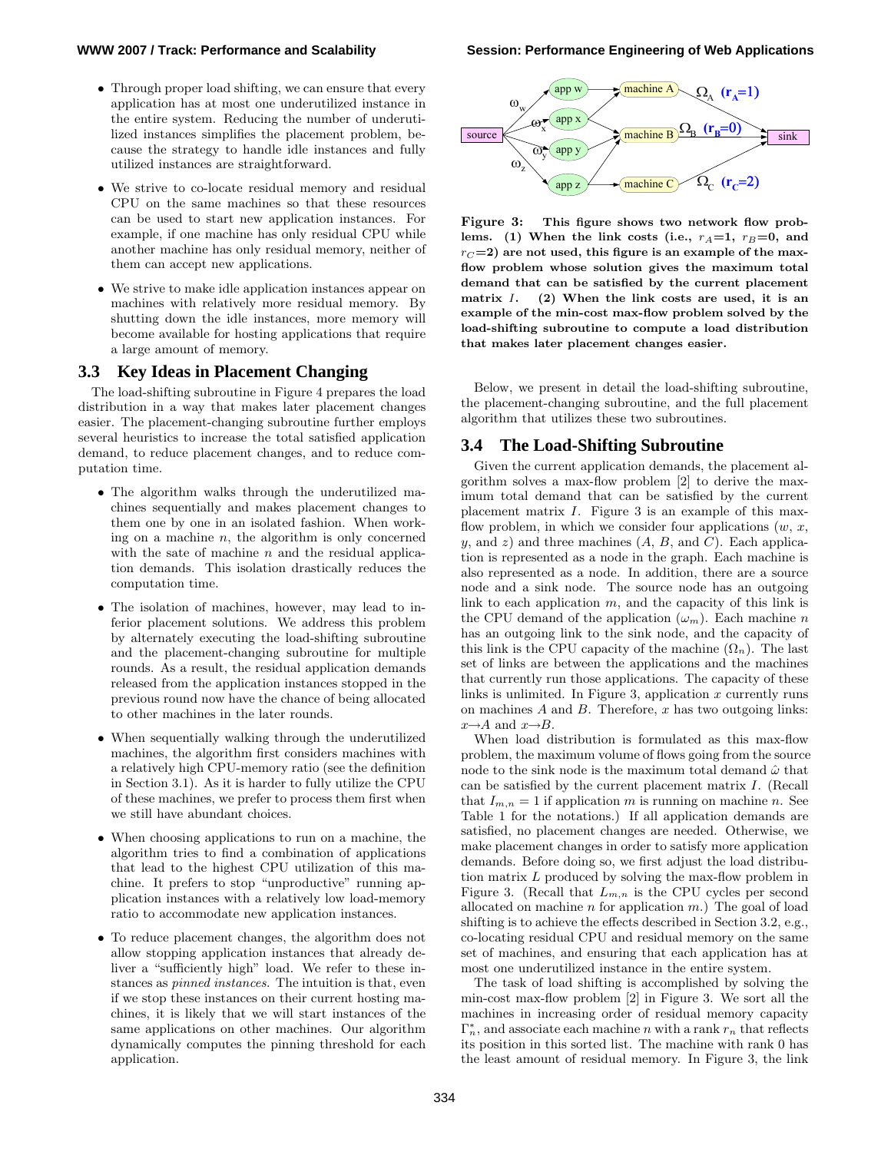- Through proper load shifting, we can ensure that every application has at most one underutilized instance in the entire system. Reducing the number of underutilized instances simplifies the placement problem, because the strategy to handle idle instances and fully utilized instances are straightforward.
- We strive to co-locate residual memory and residual CPU on the same machines so that these resources can be used to start new application instances. For example, if one machine has only residual CPU while another machine has only residual memory, neither of them can accept new applications.
- We strive to make idle application instances appear on machines with relatively more residual memory. By shutting down the idle instances, more memory will become available for hosting applications that require a large amount of memory.

### **3.3 Key Ideas in Placement Changing**

The load-shifting subroutine in Figure 4 prepares the load distribution in a way that makes later placement changes easier. The placement-changing subroutine further employs several heuristics to increase the total satisfied application demand, to reduce placement changes, and to reduce computation time.

- The algorithm walks through the underutilized machines sequentially and makes placement changes to them one by one in an isolated fashion. When working on a machine  $n$ , the algorithm is only concerned with the sate of machine  $n$  and the residual application demands. This isolation drastically reduces the computation time.
- The isolation of machines, however, may lead to inferior placement solutions. We address this problem by alternately executing the load-shifting subroutine and the placement-changing subroutine for multiple rounds. As a result, the residual application demands released from the application instances stopped in the previous round now have the chance of being allocated to other machines in the later rounds.
- When sequentially walking through the underutilized machines, the algorithm first considers machines with a relatively high CPU-memory ratio (see the definition in Section 3.1). As it is harder to fully utilize the CPU of these machines, we prefer to process them first when we still have abundant choices.
- When choosing applications to run on a machine, the algorithm tries to find a combination of applications that lead to the highest CPU utilization of this machine. It prefers to stop "unproductive" running application instances with a relatively low load-memory ratio to accommodate new application instances.
- To reduce placement changes, the algorithm does not allow stopping application instances that already deliver a "sufficiently high" load. We refer to these instances as pinned instances. The intuition is that, even if we stop these instances on their current hosting machines, it is likely that we will start instances of the same applications on other machines. Our algorithm dynamically computes the pinning threshold for each application.



Figure 3: This figure shows two network flow problems. (1) When the link costs (i.e.,  $r_A=1$ ,  $r_B=0$ , and  $r_C=2$ ) are not used, this figure is an example of the maxflow problem whose solution gives the maximum total demand that can be satisfied by the current placement matrix  $I.$  (2) When the link costs are used, it is an example of the min-cost max-flow problem solved by the load-shifting subroutine to compute a load distribution that makes later placement changes easier.

Below, we present in detail the load-shifting subroutine, the placement-changing subroutine, and the full placement algorithm that utilizes these two subroutines.

### **3.4 The Load-Shifting Subroutine**

Given the current application demands, the placement algorithm solves a max-flow problem [2] to derive the maximum total demand that can be satisfied by the current placement matrix I. Figure 3 is an example of this maxflow problem, in which we consider four applications  $(w, x, ...)$ y, and z) and three machines  $(A, B, \text{ and } C)$ . Each application is represented as a node in the graph. Each machine is also represented as a node. In addition, there are a source node and a sink node. The source node has an outgoing link to each application  $m$ , and the capacity of this link is the CPU demand of the application  $(\omega_m)$ . Each machine n has an outgoing link to the sink node, and the capacity of this link is the CPU capacity of the machine  $(\Omega_n)$ . The last set of links are between the applications and the machines that currently run those applications. The capacity of these links is unlimited. In Figure 3, application  $x$  currently runs on machines  $A$  and  $B$ . Therefore,  $x$  has two outgoing links:  $x \rightarrow A$  and  $x \rightarrow B$ .

When load distribution is formulated as this max-flow problem, the maximum volume of flows going from the source node to the sink node is the maximum total demand  $\hat{\omega}$  that can be satisfied by the current placement matrix I. (Recall that  $I_{m,n} = 1$  if application m is running on machine n. See Table 1 for the notations.) If all application demands are satisfied, no placement changes are needed. Otherwise, we make placement changes in order to satisfy more application demands. Before doing so, we first adjust the load distribution matrix L produced by solving the max-flow problem in Figure 3. (Recall that  $L_{m,n}$  is the CPU cycles per second allocated on machine  $n$  for application  $m$ .) The goal of load shifting is to achieve the effects described in Section 3.2, e.g., co-locating residual CPU and residual memory on the same set of machines, and ensuring that each application has at most one underutilized instance in the entire system.

The task of load shifting is accomplished by solving the min-cost max-flow problem [2] in Figure 3. We sort all the machines in increasing order of residual memory capacity  $\Gamma_n^*$ , and associate each machine n with a rank  $r_n$  that reflects its position in this sorted list. The machine with rank 0 has the least amount of residual memory. In Figure 3, the link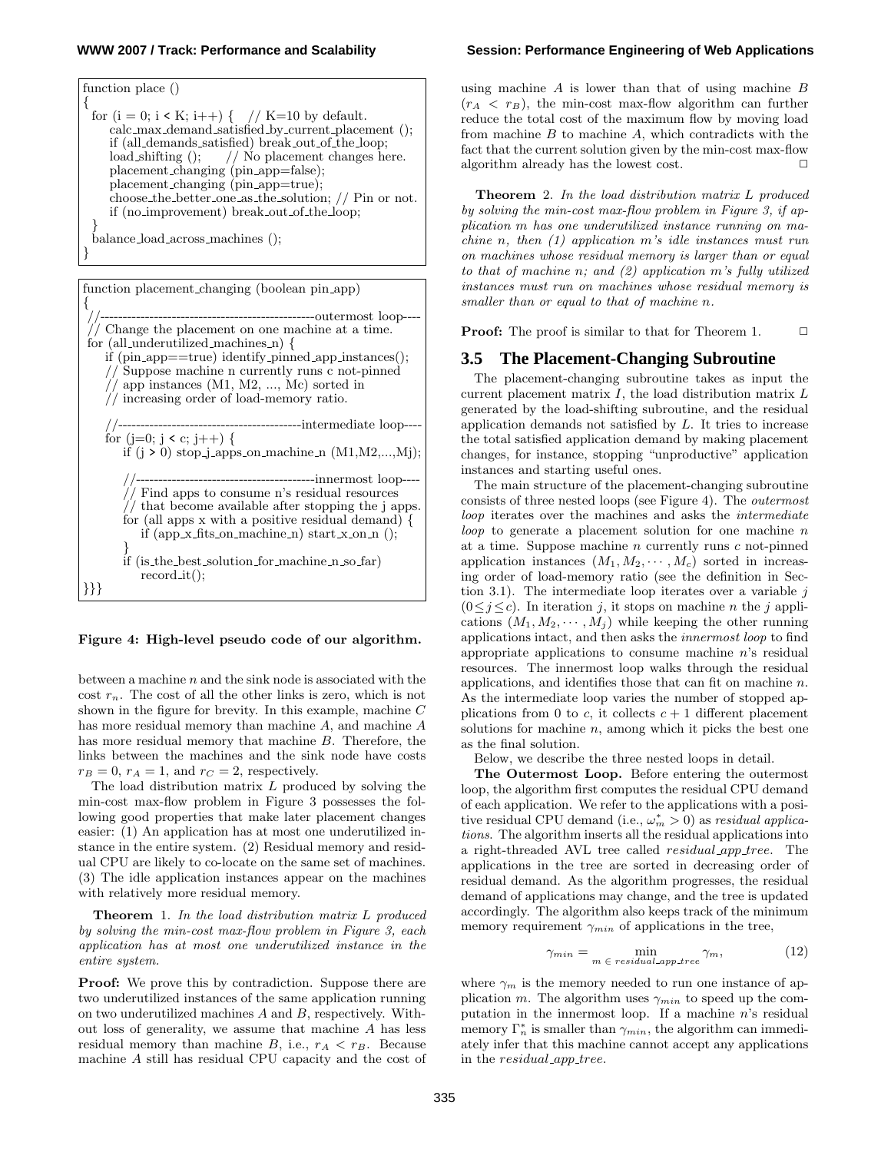function place () { for  $(i = 0; i \lt K; i++)$  { // K=10 by default. calc max demand satisfied by current placement (); if (all demands satisfied) break out of the loop;<br>load shifting ();  $//$  No placement changes he  $\frac{1}{2}$  No placement changes here. placement changing (pin app=false); placement changing (pin app=true); choose the better one as the solution; // Pin or not. if (no improvement) break out of the loop; } balance load across machines (); }

function placement changing (boolean pin app) { ------------outermost loop--// Change the placement on one machine at a time. for (all underutilized machines n) { if  $(pin.append = true)$  identify pinned app instances $()$ ; // Suppose machine n currently runs c not-pinned  $\sqrt{7}$  app instances (M1, M2, ..., Mc) sorted in // increasing order of load-memory ratio. //-----------------------------------------intermediate loop--- for  $(j=0; j < c; j++)$  { if  $(j \geq 0)$  stop j apps on machine n  $(M1,M2,...,Mj)$ ; ----innermost loop--Find apps to consume n's residual resources // that become available after stopping the j apps. for (all apps x with a positive residual demand) { if  $(appx\_fits\_on\_machine\_n) start_x\_on_n()$ ; } if (is the best solution for machine n so far) record it(); }}}

### Figure 4: High-level pseudo code of our algorithm.

between a machine  $n$  and the sink node is associated with the cost  $r_n$ . The cost of all the other links is zero, which is not shown in the figure for brevity. In this example, machine C has more residual memory than machine A, and machine A has more residual memory that machine B. Therefore, the links between the machines and the sink node have costs  $r_B = 0$ ,  $r_A = 1$ , and  $r_C = 2$ , respectively.

The load distribution matrix L produced by solving the min-cost max-flow problem in Figure 3 possesses the following good properties that make later placement changes easier: (1) An application has at most one underutilized instance in the entire system. (2) Residual memory and residual CPU are likely to co-locate on the same set of machines. (3) The idle application instances appear on the machines with relatively more residual memory.

Theorem 1. In the load distribution matrix L produced by solving the min-cost max-flow problem in Figure 3, each application has at most one underutilized instance in the entire system.

**Proof:** We prove this by contradiction. Suppose there are two underutilized instances of the same application running on two underutilized machines A and B, respectively. Without loss of generality, we assume that machine A has less residual memory than machine B, i.e.,  $r_A < r_B$ . Because machine A still has residual CPU capacity and the cost of

### **WWW 2007 / Track: Performance and Scalability Session: Performance Engineering of Web Applications**

using machine A is lower than that of using machine B  $(r_A < r_B)$ , the min-cost max-flow algorithm can further reduce the total cost of the maximum flow by moving load from machine  $B$  to machine  $A$ , which contradicts with the fact that the current solution given by the min-cost max-flow algorithm already has the lowest cost.  $\Box$ 

Theorem 2. In the load distribution matrix L produced by solving the min-cost max-flow problem in Figure 3, if application m has one underutilized instance running on machine n, then  $(1)$  application m's idle instances must run on machines whose residual memory is larger than or equal to that of machine n; and  $(2)$  application m's fully utilized instances must run on machines whose residual memory is smaller than or equal to that of machine n.

**Proof:** The proof is similar to that for Theorem 1.  $\Box$ 

### **3.5 The Placement-Changing Subroutine**

The placement-changing subroutine takes as input the current placement matrix I, the load distribution matrix L generated by the load-shifting subroutine, and the residual application demands not satisfied by  $L$ . It tries to increase the total satisfied application demand by making placement changes, for instance, stopping "unproductive" application instances and starting useful ones.

The main structure of the placement-changing subroutine consists of three nested loops (see Figure 4). The outermost loop iterates over the machines and asks the intermediate loop to generate a placement solution for one machine  $n$ at a time. Suppose machine  $n$  currently runs  $c$  not-pinned application instances  $(M_1, M_2, \cdots, M_c)$  sorted in increasing order of load-memory ratio (see the definition in Section 3.1). The intermediate loop iterates over a variable  $j$  $(0 \leq j \leq c)$ . In iteration j, it stops on machine n the j applications  $(M_1, M_2, \cdots, M_j)$  while keeping the other running applications intact, and then asks the innermost loop to find appropriate applications to consume machine n's residual resources. The innermost loop walks through the residual applications, and identifies those that can fit on machine n. As the intermediate loop varies the number of stopped applications from 0 to c, it collects  $c + 1$  different placement solutions for machine  $n$ , among which it picks the best one as the final solution.

Below, we describe the three nested loops in detail.

The Outermost Loop. Before entering the outermost loop, the algorithm first computes the residual CPU demand of each application. We refer to the applications with a positive residual CPU demand (i.e.,  $\omega_m^* > 0$ ) as residual applications. The algorithm inserts all the residual applications into a right-threaded AVL tree called residual app tree. The applications in the tree are sorted in decreasing order of residual demand. As the algorithm progresses, the residual demand of applications may change, and the tree is updated accordingly. The algorithm also keeps track of the minimum memory requirement  $\gamma_{min}$  of applications in the tree,

$$
\gamma_{min} = \min_{m \in residual\ app\ tree} \gamma_m,\tag{12}
$$

where  $\gamma_m$  is the memory needed to run one instance of application m. The algorithm uses  $\gamma_{min}$  to speed up the computation in the innermost loop. If a machine n's residual memory  $\Gamma_n^*$  is smaller than  $\gamma_{min}$ , the algorithm can immediately infer that this machine cannot accept any applications in the *residual app\_tree*.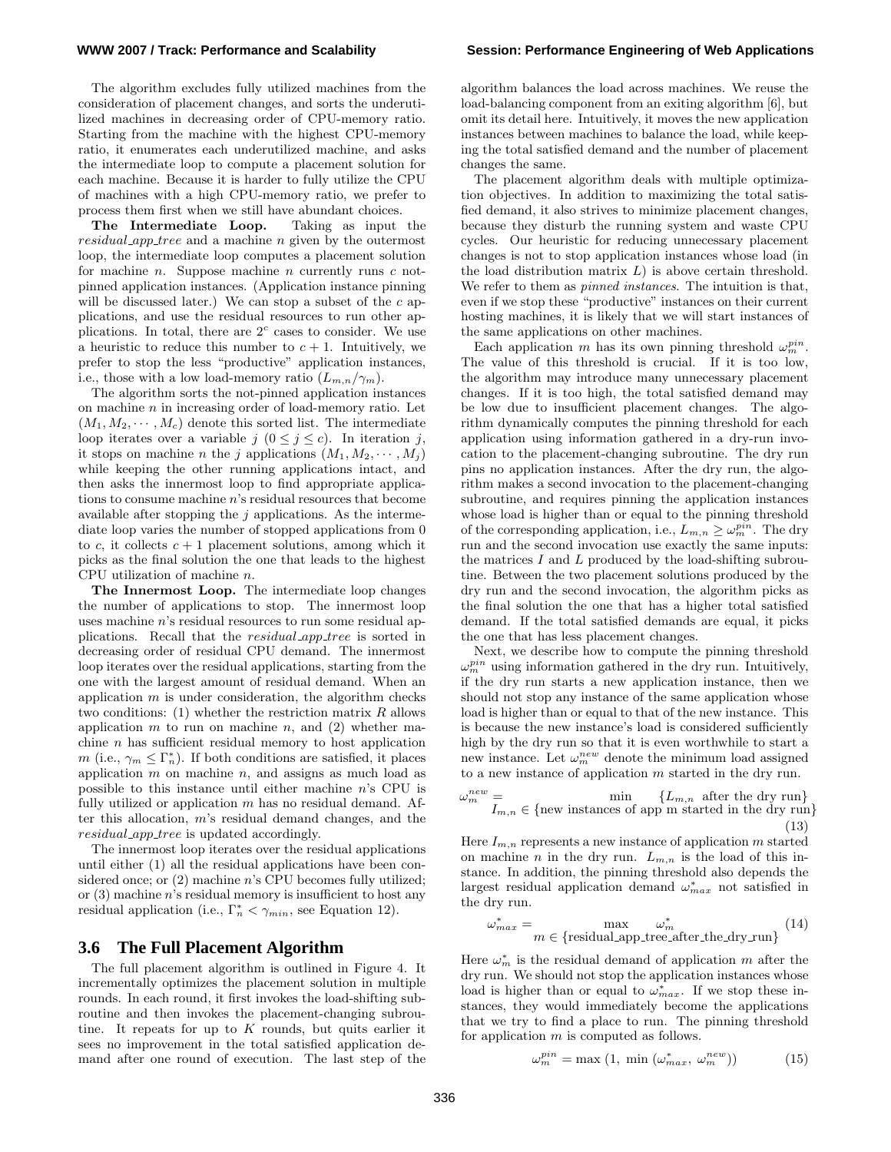The algorithm excludes fully utilized machines from the consideration of placement changes, and sorts the underutilized machines in decreasing order of CPU-memory ratio. Starting from the machine with the highest CPU-memory ratio, it enumerates each underutilized machine, and asks the intermediate loop to compute a placement solution for each machine. Because it is harder to fully utilize the CPU of machines with a high CPU-memory ratio, we prefer to process them first when we still have abundant choices.

The Intermediate Loop. Taking as input the residual app tree and a machine n given by the outermost loop, the intermediate loop computes a placement solution for machine  $n$ . Suppose machine  $n$  currently runs  $c$  notpinned application instances. (Application instance pinning will be discussed later.) We can stop a subset of the  $c$  applications, and use the residual resources to run other applications. In total, there are  $2^c$  cases to consider. We use a heuristic to reduce this number to  $c + 1$ . Intuitively, we prefer to stop the less "productive" application instances, i.e., those with a low load-memory ratio  $(L_{m,n}/\gamma_m)$ .

The algorithm sorts the not-pinned application instances on machine  $n$  in increasing order of load-memory ratio. Let  $(M_1, M_2, \cdots, M_c)$  denote this sorted list. The intermediate loop iterates over a variable  $j$   $(0 \leq j \leq c)$ . In iteration j, it stops on machine *n* the *j* applications  $(M_1, M_2, \cdots, M_j)$ while keeping the other running applications intact, and then asks the innermost loop to find appropriate applications to consume machine n's residual resources that become available after stopping the  $j$  applications. As the intermediate loop varies the number of stopped applications from 0 to c, it collects  $c + 1$  placement solutions, among which it picks as the final solution the one that leads to the highest CPU utilization of machine n.

The Innermost Loop. The intermediate loop changes the number of applications to stop. The innermost loop uses machine n's residual resources to run some residual applications. Recall that the residual app tree is sorted in decreasing order of residual CPU demand. The innermost loop iterates over the residual applications, starting from the one with the largest amount of residual demand. When an application  $m$  is under consideration, the algorithm checks two conditions:  $(1)$  whether the restriction matrix  $R$  allows application  $m$  to run on machine  $n$ , and (2) whether machine  $n$  has sufficient residual memory to host application m (i.e.,  $\gamma_m \leq \Gamma_n^*$ ). If both conditions are satisfied, it places application  $m$  on machine  $n$ , and assigns as much load as possible to this instance until either machine n's CPU is fully utilized or application  $m$  has no residual demand. After this allocation, m's residual demand changes, and the residual app tree is updated accordingly.

The innermost loop iterates over the residual applications until either (1) all the residual applications have been considered once; or  $(2)$  machine *n*'s CPU becomes fully utilized; or  $(3)$  machine *n*'s residual memory is insufficient to host any residual application (i.e.,  $\Gamma_n^* < \gamma_{min}$ , see Equation 12).

### **3.6 The Full Placement Algorithm**

The full placement algorithm is outlined in Figure 4. It incrementally optimizes the placement solution in multiple rounds. In each round, it first invokes the load-shifting subroutine and then invokes the placement-changing subroutine. It repeats for up to  $K$  rounds, but quits earlier it sees no improvement in the total satisfied application demand after one round of execution. The last step of the algorithm balances the load across machines. We reuse the load-balancing component from an exiting algorithm [6], but omit its detail here. Intuitively, it moves the new application instances between machines to balance the load, while keeping the total satisfied demand and the number of placement changes the same.

The placement algorithm deals with multiple optimization objectives. In addition to maximizing the total satisfied demand, it also strives to minimize placement changes, because they disturb the running system and waste CPU cycles. Our heuristic for reducing unnecessary placement changes is not to stop application instances whose load (in the load distribution matrix  $L$ ) is above certain threshold. We refer to them as *pinned instances*. The intuition is that, even if we stop these "productive" instances on their current hosting machines, it is likely that we will start instances of the same applications on other machines.

Each application m has its own pinning threshold  $\omega_m^{pin}$ . The value of this threshold is crucial. If it is too low, the algorithm may introduce many unnecessary placement changes. If it is too high, the total satisfied demand may be low due to insufficient placement changes. The algorithm dynamically computes the pinning threshold for each application using information gathered in a dry-run invocation to the placement-changing subroutine. The dry run pins no application instances. After the dry run, the algorithm makes a second invocation to the placement-changing subroutine, and requires pinning the application instances whose load is higher than or equal to the pinning threshold of the corresponding application, i.e.,  $L_{m,n} \geq \omega_m^{pin}$ . The dry run and the second invocation use exactly the same inputs: the matrices  $I$  and  $L$  produced by the load-shifting subroutine. Between the two placement solutions produced by the dry run and the second invocation, the algorithm picks as the final solution the one that has a higher total satisfied demand. If the total satisfied demands are equal, it picks the one that has less placement changes.

Next, we describe how to compute the pinning threshold  $\omega_m^{pin}$  using information gathered in the dry run. Intuitively, if the dry run starts a new application instance, then we should not stop any instance of the same application whose load is higher than or equal to that of the new instance. This is because the new instance's load is considered sufficiently high by the dry run so that it is even worthwhile to start a new instance. Let  $\omega_m^{new}$  denote the minimum load assigned to a new instance of application m started in the dry run.

$$
\omega_m^{new} = \min_{I_{m,n}} \{ L_{m,n} \text{ after the dry run} \}
$$
  

$$
I_{m,n} \in \{ \text{new instances of app m started in the dry run} \}
$$
 (13)

Here  $I_{m,n}$  represents a new instance of application m started on machine *n* in the dry run.  $L_{m,n}$  is the load of this instance. In addition, the pinning threshold also depends the largest residual application demand  $\omega_{max}^*$  not satisfied in the dry run.

$$
\omega_{max}^* = \max_{m \in \{\text{residual\_app\_tree\_after\_the\_dry\_run}\}} (14)
$$

Here  $\omega_m^*$  is the residual demand of application m after the dry run. We should not stop the application instances whose load is higher than or equal to  $\omega_{max}^*$ . If we stop these instances, they would immediately become the applications that we try to find a place to run. The pinning threshold for application m is computed as follows.

$$
\omega_m^{pin} = \max(1, \min(\omega_{max}^*, \omega_m^{new})) \tag{15}
$$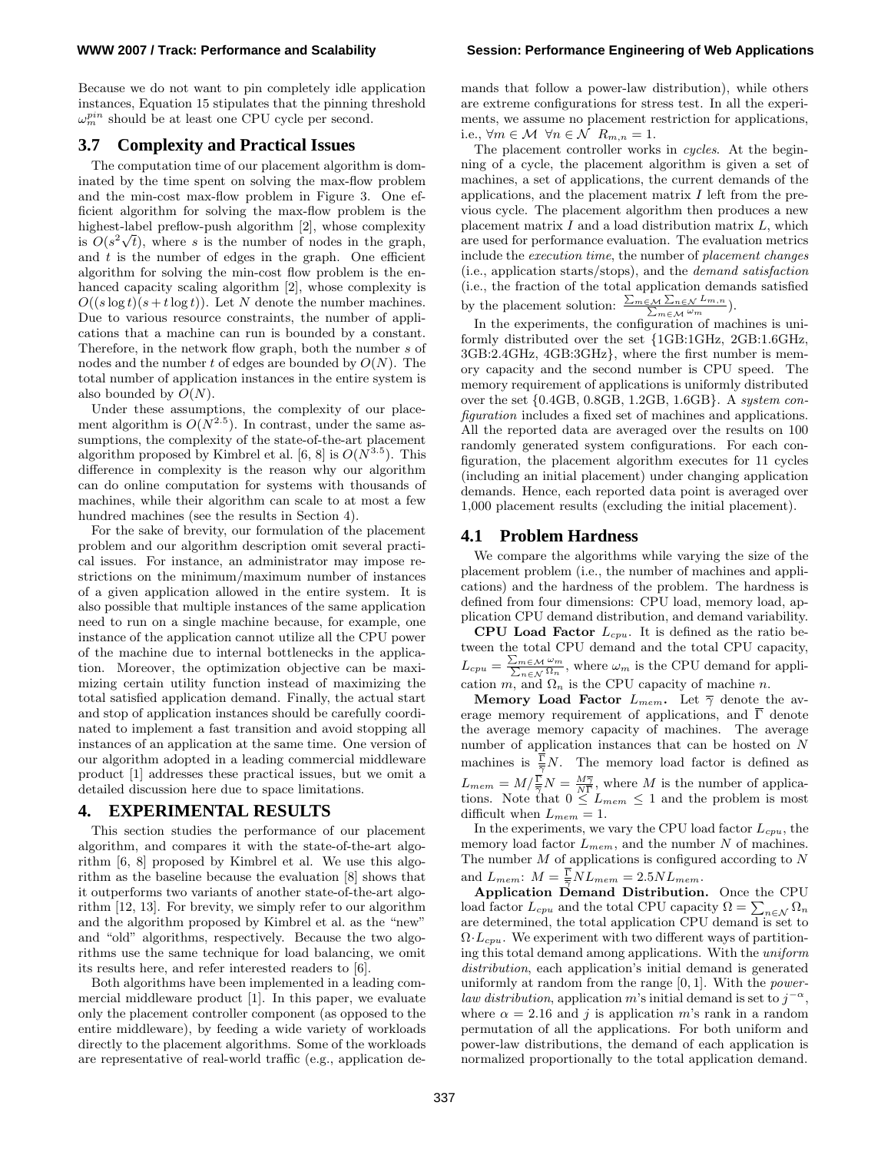Because we do not want to pin completely idle application instances, Equation 15 stipulates that the pinning threshold  $\omega_m^{pin}$  should be at least one CPU cycle per second.

### **3.7 Complexity and Practical Issues**

The computation time of our placement algorithm is dominated by the time spent on solving the max-flow problem and the min-cost max-flow problem in Figure 3. One efficient algorithm for solving the max-flow problem is the highest-label preflow-push algorithm [2], whose complexity is  $O(s^2\sqrt{t})$ , where s is the number of nodes in the graph, and  $t$  is the number of edges in the graph. One efficient algorithm for solving the min-cost flow problem is the enhanced capacity scaling algorithm [2], whose complexity is  $O((s \log t)(s + t \log t))$ . Let N denote the number machines. Due to various resource constraints, the number of applications that a machine can run is bounded by a constant. Therefore, in the network flow graph, both the number s of nodes and the number t of edges are bounded by  $O(N)$ . The total number of application instances in the entire system is also bounded by  $O(N)$ .

Under these assumptions, the complexity of our placement algorithm is  $O(N^{2.5})$ . In contrast, under the same assumptions, the complexity of the state-of-the-art placement algorithm proposed by Kimbrel et al. [6, 8] is  $O(N^{3.5})$ . This difference in complexity is the reason why our algorithm can do online computation for systems with thousands of machines, while their algorithm can scale to at most a few hundred machines (see the results in Section 4).

For the sake of brevity, our formulation of the placement problem and our algorithm description omit several practical issues. For instance, an administrator may impose restrictions on the minimum/maximum number of instances of a given application allowed in the entire system. It is also possible that multiple instances of the same application need to run on a single machine because, for example, one instance of the application cannot utilize all the CPU power of the machine due to internal bottlenecks in the application. Moreover, the optimization objective can be maximizing certain utility function instead of maximizing the total satisfied application demand. Finally, the actual start and stop of application instances should be carefully coordinated to implement a fast transition and avoid stopping all instances of an application at the same time. One version of our algorithm adopted in a leading commercial middleware product [1] addresses these practical issues, but we omit a detailed discussion here due to space limitations.

### **4. EXPERIMENTAL RESULTS**

This section studies the performance of our placement algorithm, and compares it with the state-of-the-art algorithm [6, 8] proposed by Kimbrel et al. We use this algorithm as the baseline because the evaluation [8] shows that it outperforms two variants of another state-of-the-art algorithm [12, 13]. For brevity, we simply refer to our algorithm and the algorithm proposed by Kimbrel et al. as the "new" and "old" algorithms, respectively. Because the two algorithms use the same technique for load balancing, we omit its results here, and refer interested readers to [6].

Both algorithms have been implemented in a leading commercial middleware product [1]. In this paper, we evaluate only the placement controller component (as opposed to the entire middleware), by feeding a wide variety of workloads directly to the placement algorithms. Some of the workloads are representative of real-world traffic (e.g., application demands that follow a power-law distribution), while others are extreme configurations for stress test. In all the experiments, we assume no placement restriction for applications, i.e.,  $\forall m \in \mathcal{M} \ \forall n \in \mathcal{N} \ R_{m,n} = 1.$ 

The placement controller works in cycles. At the beginning of a cycle, the placement algorithm is given a set of machines, a set of applications, the current demands of the applications, and the placement matrix I left from the previous cycle. The placement algorithm then produces a new placement matrix  $I$  and a load distribution matrix  $L$ , which are used for performance evaluation. The evaluation metrics include the execution time, the number of placement changes (i.e., application starts/stops), and the demand satisfaction (i.e., the fraction of the total application demands satisfied by the placement solution:  $\frac{\sum_{m\in\mathcal{M}}\sum_{n\in\mathcal{N}}L_{m,n}}{\sum_{m\in\mathcal{M}}\omega_m}$ .

In the experiments, the configuration of machines is uniformly distributed over the set {1GB:1GHz, 2GB:1.6GHz, 3GB:2.4GHz, 4GB:3GHz}, where the first number is memory capacity and the second number is CPU speed. The memory requirement of applications is uniformly distributed over the set {0.4GB, 0.8GB, 1.2GB, 1.6GB}. A system configuration includes a fixed set of machines and applications. All the reported data are averaged over the results on 100 randomly generated system configurations. For each configuration, the placement algorithm executes for 11 cycles (including an initial placement) under changing application demands. Hence, each reported data point is averaged over 1,000 placement results (excluding the initial placement).

### **4.1 Problem Hardness**

We compare the algorithms while varying the size of the placement problem (i.e., the number of machines and applications) and the hardness of the problem. The hardness is defined from four dimensions: CPU load, memory load, application CPU demand distribution, and demand variability.

CPU Load Factor  $L_{cpu}$ . It is defined as the ratio between the total CPU demand and the total CPU capacity,  $L_{cpu} = \frac{\sum_{m \in \mathcal{M}} \omega_m}{\sum_{n \in \mathcal{N}} \Omega_n}$ , where  $\omega_m$  is the CPU demand for application m, and  $\Omega_n$  is the CPU capacity of machine n.

Memory Load Factor  $L_{mem}$ . Let  $\overline{\gamma}$  denote the average memory requirement of applications, and  $\overline{\Gamma}$  denote the average memory capacity of machines. The average number of application instances that can be hosted on N machines is  $\frac{\overline{\Gamma}}{2}N$ . The memory load factor is defined as  $L_{mem} = M/\frac{\overline{\Gamma}}{N}N = \frac{M\overline{\gamma}}{N\overline{\Gamma}}$ , where M is the number of applications. Note that  $0 \leq L_{mem} \leq 1$  and the problem is most difficult when  $L_{mem} = 1$ .

In the experiments, we vary the CPU load factor  $L_{cpu}$ , the memory load factor  $L_{mem}$ , and the number N of machines. The number  $M$  of applications is configured according to  $N$ and  $L_{mem}: M = \frac{\overline{\Gamma}}{2} NL_{mem} = 2.5NL_{mem}.$ 

Application Demand Distribution. Once the CPU load factor  $L_{cpu}$  and the total CPU capacity  $\Omega = \sum_{n \in \mathcal{N}} \Omega_n$ are determined, the total application CPU demand is set to  $\Omega \cdot L_{cpu}$ . We experiment with two different ways of partitioning this total demand among applications. With the uniform distribution, each application's initial demand is generated uniformly at random from the range [0, 1]. With the powerlaw distribution, application m's initial demand is set to  $j^{-\alpha}$ , where  $\alpha = 2.16$  and j is application m's rank in a random permutation of all the applications. For both uniform and power-law distributions, the demand of each application is normalized proportionally to the total application demand.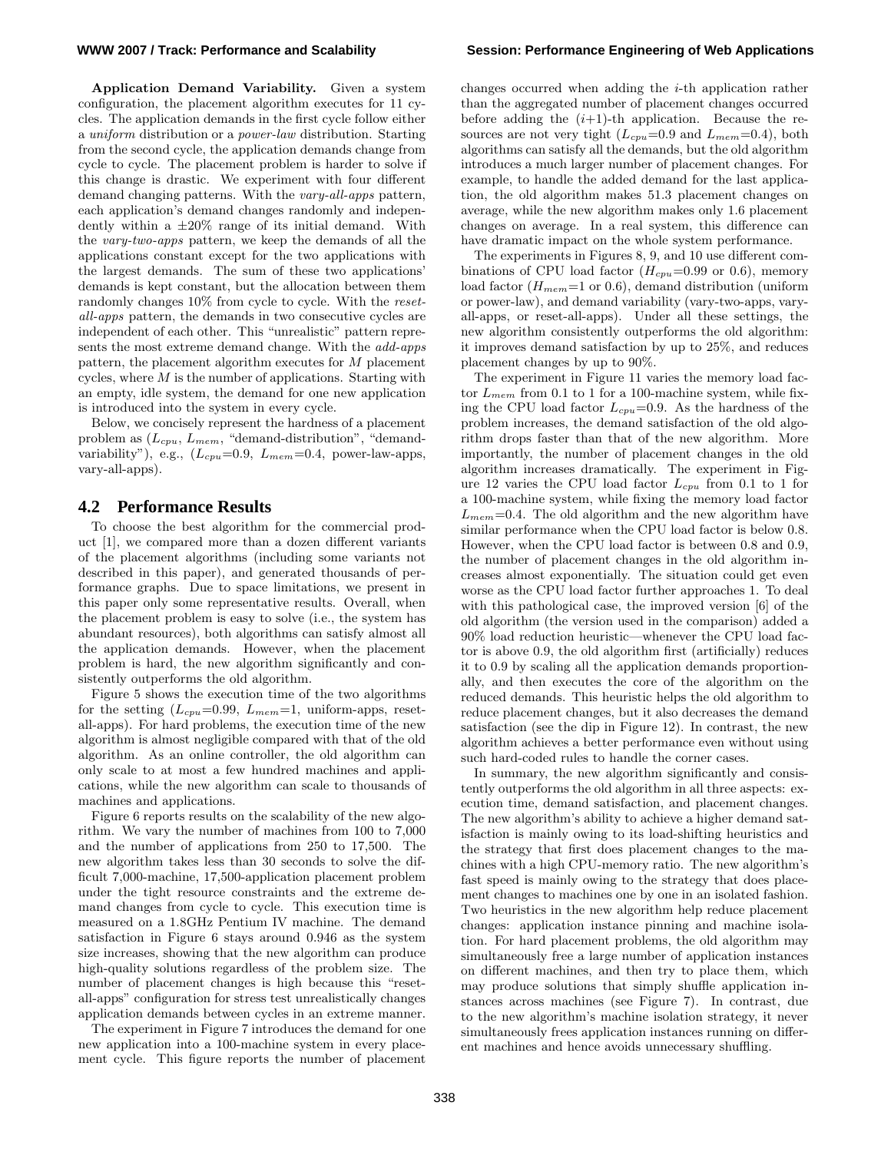Application Demand Variability. Given a system configuration, the placement algorithm executes for 11 cycles. The application demands in the first cycle follow either a uniform distribution or a power-law distribution. Starting from the second cycle, the application demands change from cycle to cycle. The placement problem is harder to solve if this change is drastic. We experiment with four different demand changing patterns. With the vary-all-apps pattern, each application's demand changes randomly and independently within a  $\pm 20\%$  range of its initial demand. With the vary-two-apps pattern, we keep the demands of all the applications constant except for the two applications with the largest demands. The sum of these two applications' demands is kept constant, but the allocation between them randomly changes 10% from cycle to cycle. With the resetall-apps pattern, the demands in two consecutive cycles are independent of each other. This "unrealistic" pattern represents the most extreme demand change. With the *add-apps* pattern, the placement algorithm executes for M placement cycles, where  $M$  is the number of applications. Starting with an empty, idle system, the demand for one new application is introduced into the system in every cycle.

Below, we concisely represent the hardness of a placement problem as  $(L_{cpu}, L_{mem},$  "demand-distribution", "demandvariability"), e.g.,  $(L_{cpu}=0.9, L_{mem}=0.4, power-law-approx,$ vary-all-apps).

### **4.2 Performance Results**

To choose the best algorithm for the commercial product [1], we compared more than a dozen different variants of the placement algorithms (including some variants not described in this paper), and generated thousands of performance graphs. Due to space limitations, we present in this paper only some representative results. Overall, when the placement problem is easy to solve (i.e., the system has abundant resources), both algorithms can satisfy almost all the application demands. However, when the placement problem is hard, the new algorithm significantly and consistently outperforms the old algorithm.

Figure 5 shows the execution time of the two algorithms for the setting  $(L_{cpu}=0.99, L_{mem}=1, \text{ uniform-apps, reset-}$ all-apps). For hard problems, the execution time of the new algorithm is almost negligible compared with that of the old algorithm. As an online controller, the old algorithm can only scale to at most a few hundred machines and applications, while the new algorithm can scale to thousands of machines and applications.

Figure 6 reports results on the scalability of the new algorithm. We vary the number of machines from 100 to 7,000 and the number of applications from 250 to 17,500. The new algorithm takes less than 30 seconds to solve the difficult 7,000-machine, 17,500-application placement problem under the tight resource constraints and the extreme demand changes from cycle to cycle. This execution time is measured on a 1.8GHz Pentium IV machine. The demand satisfaction in Figure 6 stays around 0.946 as the system size increases, showing that the new algorithm can produce high-quality solutions regardless of the problem size. The number of placement changes is high because this "resetall-apps" configuration for stress test unrealistically changes application demands between cycles in an extreme manner.

The experiment in Figure 7 introduces the demand for one new application into a 100-machine system in every placement cycle. This figure reports the number of placement changes occurred when adding the i-th application rather than the aggregated number of placement changes occurred before adding the  $(i+1)$ -th application. Because the resources are not very tight  $(L_{cpu}=0.9 \text{ and } L_{mem}=0.4)$ , both algorithms can satisfy all the demands, but the old algorithm introduces a much larger number of placement changes. For example, to handle the added demand for the last application, the old algorithm makes 51.3 placement changes on average, while the new algorithm makes only 1.6 placement changes on average. In a real system, this difference can have dramatic impact on the whole system performance.

The experiments in Figures 8, 9, and 10 use different combinations of CPU load factor  $(H_{cpu}=0.99 \text{ or } 0.6)$ , memory load factor ( $H_{mem}=1$  or 0.6), demand distribution (uniform or power-law), and demand variability (vary-two-apps, varyall-apps, or reset-all-apps). Under all these settings, the new algorithm consistently outperforms the old algorithm: it improves demand satisfaction by up to 25%, and reduces placement changes by up to 90%.

The experiment in Figure 11 varies the memory load factor  $L_{mem}$  from 0.1 to 1 for a 100-machine system, while fixing the CPU load factor  $L_{cpu}$ =0.9. As the hardness of the problem increases, the demand satisfaction of the old algorithm drops faster than that of the new algorithm. More importantly, the number of placement changes in the old algorithm increases dramatically. The experiment in Figure 12 varies the CPU load factor  $L_{cpu}$  from 0.1 to 1 for a 100-machine system, while fixing the memory load factor  $L_{mem}=0.4$ . The old algorithm and the new algorithm have similar performance when the CPU load factor is below 0.8. However, when the CPU load factor is between 0.8 and 0.9, the number of placement changes in the old algorithm increases almost exponentially. The situation could get even worse as the CPU load factor further approaches 1. To deal with this pathological case, the improved version [6] of the old algorithm (the version used in the comparison) added a 90% load reduction heuristic—whenever the CPU load factor is above 0.9, the old algorithm first (artificially) reduces it to 0.9 by scaling all the application demands proportionally, and then executes the core of the algorithm on the reduced demands. This heuristic helps the old algorithm to reduce placement changes, but it also decreases the demand satisfaction (see the dip in Figure 12). In contrast, the new algorithm achieves a better performance even without using such hard-coded rules to handle the corner cases.

In summary, the new algorithm significantly and consistently outperforms the old algorithm in all three aspects: execution time, demand satisfaction, and placement changes. The new algorithm's ability to achieve a higher demand satisfaction is mainly owing to its load-shifting heuristics and the strategy that first does placement changes to the machines with a high CPU-memory ratio. The new algorithm's fast speed is mainly owing to the strategy that does placement changes to machines one by one in an isolated fashion. Two heuristics in the new algorithm help reduce placement changes: application instance pinning and machine isolation. For hard placement problems, the old algorithm may simultaneously free a large number of application instances on different machines, and then try to place them, which may produce solutions that simply shuffle application instances across machines (see Figure 7). In contrast, due to the new algorithm's machine isolation strategy, it never simultaneously frees application instances running on different machines and hence avoids unnecessary shuffling.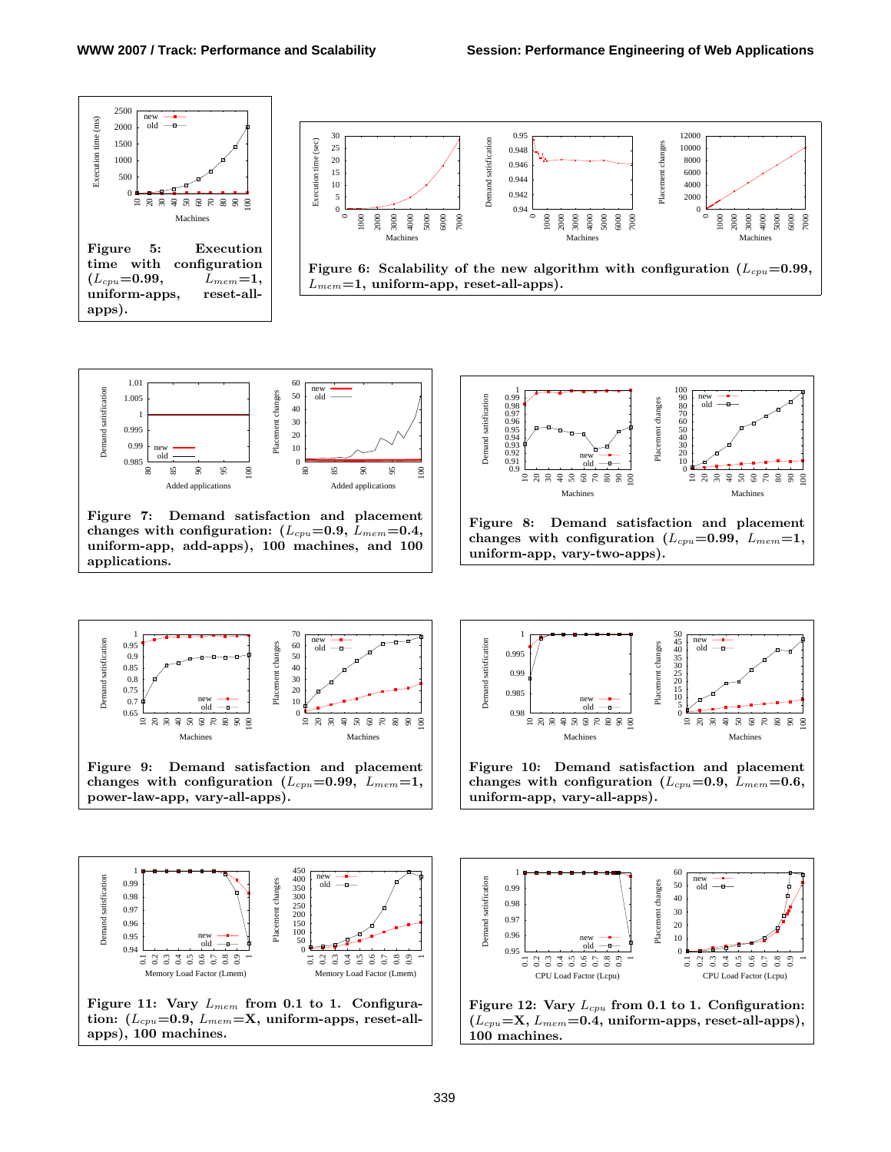



Figure 6: Scalability of the new algorithm with configuration  $(L_{cv} = 0.99,$  $L_{mem} = 1$ , uniform-app, reset-all-apps).



Figure 7: Demand satisfaction and placement changes with configuration:  $(L_{cpu}=0.9, L_{mem}=0.4,$ uniform-app, add-apps), 100 machines, and 100 applications.



Figure 8: Demand satisfaction and placement changes with configuration  $(L_{cpu}=0.99, L_{mem}=1,$ uniform-app, vary-two-apps).